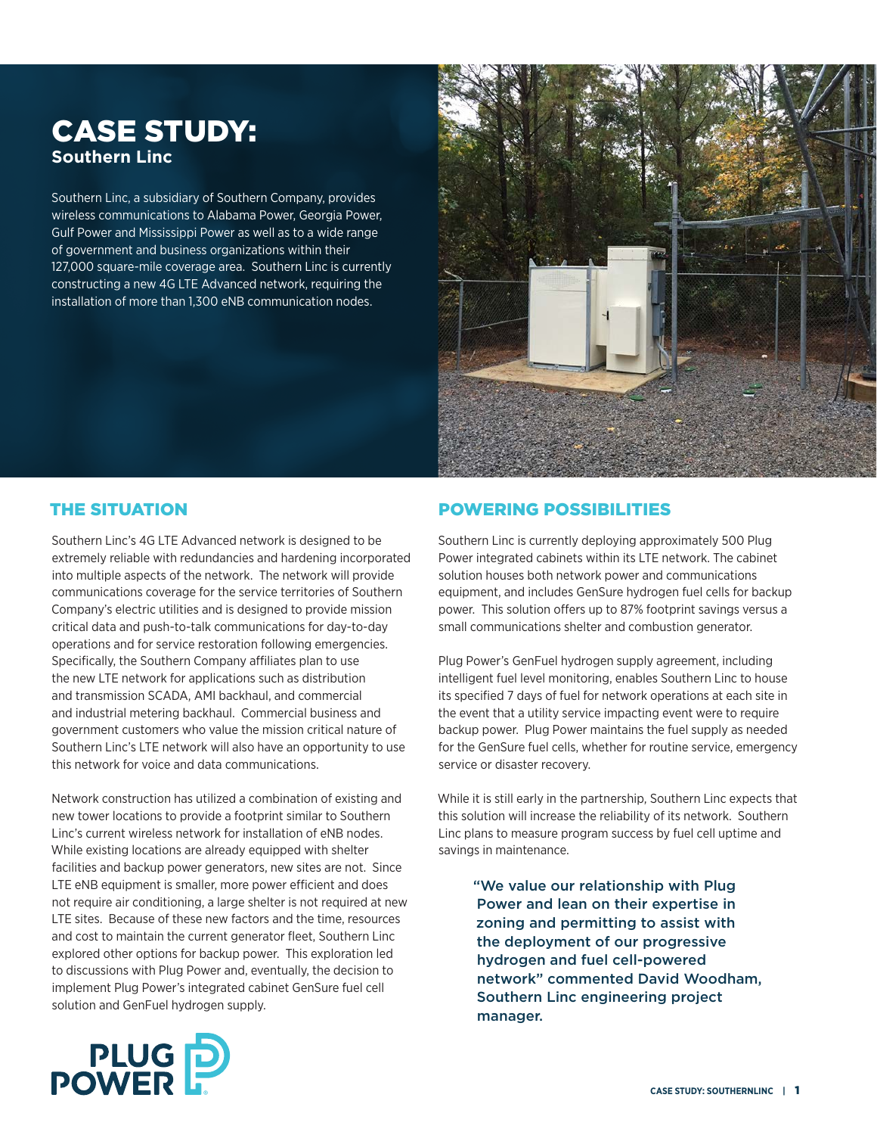# CASE STUDY: **Southern Linc**

Southern Linc, a subsidiary of Southern Company, provides wireless communications to Alabama Power, Georgia Power, Gulf Power and Mississippi Power as well as to a wide range of government and business organizations within their 127,000 square-mile coverage area. Southern Linc is currently constructing a new 4G LTE Advanced network, requiring the installation of more than 1,300 eNB communication nodes.



## THE SITUATION

Southern Linc's 4G LTE Advanced network is designed to be extremely reliable with redundancies and hardening incorporated into multiple aspects of the network. The network will provide communications coverage for the service territories of Southern Company's electric utilities and is designed to provide mission critical data and push-to-talk communications for day-to-day operations and for service restoration following emergencies. Specifically, the Southern Company affiliates plan to use the new LTE network for applications such as distribution and transmission SCADA, AMI backhaul, and commercial and industrial metering backhaul. Commercial business and government customers who value the mission critical nature of Southern Linc's LTE network will also have an opportunity to use this network for voice and data communications.

Network construction has utilized a combination of existing and new tower locations to provide a footprint similar to Southern Linc's current wireless network for installation of eNB nodes. While existing locations are already equipped with shelter facilities and backup power generators, new sites are not. Since LTE eNB equipment is smaller, more power efficient and does not require air conditioning, a large shelter is not required at new LTE sites. Because of these new factors and the time, resources and cost to maintain the current generator fleet, Southern Linc explored other options for backup power. This exploration led to discussions with Plug Power and, eventually, the decision to implement Plug Power's integrated cabinet GenSure fuel cell solution and GenFuel hydrogen supply.

## POWERING POSSIBILITIES

Southern Linc is currently deploying approximately 500 Plug Power integrated cabinets within its LTE network. The cabinet solution houses both network power and communications equipment, and includes GenSure hydrogen fuel cells for backup power. This solution offers up to 87% footprint savings versus a small communications shelter and combustion generator.

Plug Power's GenFuel hydrogen supply agreement, including intelligent fuel level monitoring, enables Southern Linc to house its specified 7 days of fuel for network operations at each site in the event that a utility service impacting event were to require backup power. Plug Power maintains the fuel supply as needed for the GenSure fuel cells, whether for routine service, emergency service or disaster recovery.

While it is still early in the partnership, Southern Linc expects that this solution will increase the reliability of its network. Southern Linc plans to measure program success by fuel cell uptime and savings in maintenance.

"We value our relationship with Plug Power and lean on their expertise in zoning and permitting to assist with the deployment of our progressive hydrogen and fuel cell-powered network" commented David Woodham, Southern Linc engineering project manager.